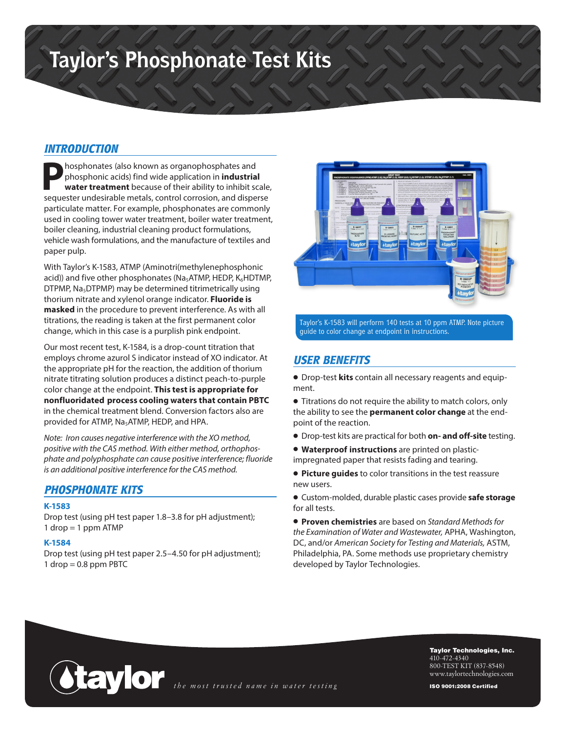# **Taylor's Phosphonate Test Kits**

## *INTRODUCTION*

**P**hosphonates (also known as organophosphates and phosphonic acids) find wide application in **industrial water treatment** because of their ability to inhibit scale, sequester undesirable metals, control corrosion, and disperse particulate matter. For example, phosphonates are commonly used in cooling tower water treatment, boiler water treatment, boiler cleaning, industrial cleaning product formulations, vehicle wash formulations, and the manufacture of textiles and paper pulp.

With Taylor's K-1583, ATMP (Aminotri(methylenephosphonic acid)) and five other phosphonates ( $Na<sub>5</sub>ATMP$ , HEDP,  $K<sub>6</sub>HDTMP$ , DTPMP,  $Na<sub>5</sub>DTPMP$ ) may be determined titrimetrically using thorium nitrate and xylenol orange indicator. **Fluoride is masked** in the procedure to prevent interference. As with all titrations, the reading is taken at the first permanent color change, which in this case is a purplish pink endpoint.

Our most recent test, K-1584, is a drop-count titration that employs chrome azurol S indicator instead of XO indicator. At the appropriate pH for the reaction, the addition of thorium nitrate titrating solution produces a distinct peach-to-purple color change at the endpoint. **This test is appropriate for nonfluoridated process cooling waters that contain PBTC** in the chemical treatment blend. Conversion factors also are provided for ATMP, Na5ATMP, HEDP, and HPA.

*Note: Iron causes negative interference with the XO method, positive with the CAS method. With either method, orthophosphate and polyphosphate can cause positive interference; fluoride is an additional positive interference for the CAS method.*

### *PHOSPHONATE KITS*

#### **K-1583**

Drop test (using pH test paper 1.8–3.8 for pH adjustment);  $1$  drop = 1 ppm ATMP

#### **K-1584**

Drop test (using pH test paper 2.5–4.50 for pH adjustment);  $1$  drop = 0.8 ppm PBTC



Taylor's K-1583 will perform 140 tests at 10 ppm ATMP. Note picture guide to color change at endpoint in instructions.

## *USER BENEFITS*

• Drop-test **kits** contain all necessary reagents and equipment.

• Titrations do not require the ability to match colors, only the ability to see the **permanent color change** at the endpoint of the reaction.

- Drop-test kits are practical for both **on- and off-site** testing.
- **Waterproof instructions** are printed on plasticimpregnated paper that resists fading and tearing.

• **Picture guides** to color transitions in the test reassure new users.

• Custom-molded, durable plastic cases provide **safe storage** for all tests.

• **Proven chemistries** are based on *Standard Methods for the Examination of Water and Wastewater,* APHA, Washington, DC, and/or *American Society for Testing and Materials,* ASTM, Philadelphia, PA. Some methods use proprietary chemistry developed by Taylor Technologies.



Taylor Technologies, Inc. 410-472-4340 800-TEST KIT (837-8548) www.taylortechnologies.com

ISO 9001:2008 Certified